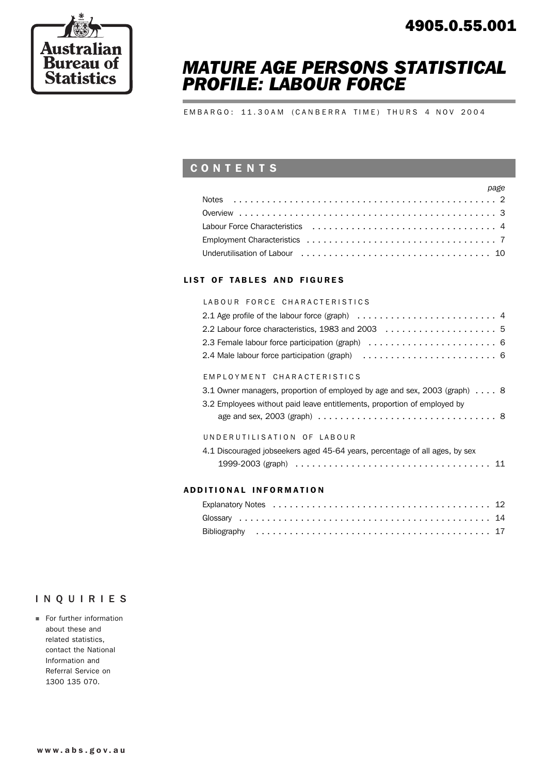

# *MATURE AGE PERSONS STATISTICAL PROFILE: LABOUR FORCE*

EMBARGO: 11.30AM (CANBERRA TIME) THURS 4 NOV 2004

## CONTENTS

| page |
|------|
|      |
|      |
|      |
|      |
|      |

### LIST OF TABLES AND FIGURES

#### LABOUR FORCE CHARACTERISTICS

| EMPLOYMENT CHARACTERISTICS                                                |  |  |  |  |  |
|---------------------------------------------------------------------------|--|--|--|--|--|
| 3.1 Owner managers, proportion of employed by age and sex, 2003 (graph) 8 |  |  |  |  |  |
| 3.2 Employees without paid leave entitlements, proportion of employed by  |  |  |  |  |  |

| Le Employeee mareat paid leave entraemente, proportion or employee by                             |  |  |  |  |  |  |  |  |  |
|---------------------------------------------------------------------------------------------------|--|--|--|--|--|--|--|--|--|
| age and sex, 2003 (graph) $\ldots \ldots \ldots \ldots \ldots \ldots \ldots \ldots \ldots \ldots$ |  |  |  |  |  |  |  |  |  |

### UNDERUTILISATION OF LABOUR

| 4.1 Discouraged jobseekers aged 45-64 years, percentage of all ages, by sex                                |  |
|------------------------------------------------------------------------------------------------------------|--|
| 1999-2003 (graph) $\ldots \ldots \ldots \ldots \ldots \ldots \ldots \ldots \ldots \ldots \ldots \ldots 11$ |  |

### ADD ITIONAL INFORMATION

### INQUIRIES

**For further information** about these and related statistics, contact the National Information and Referral Service on 1300 135 070.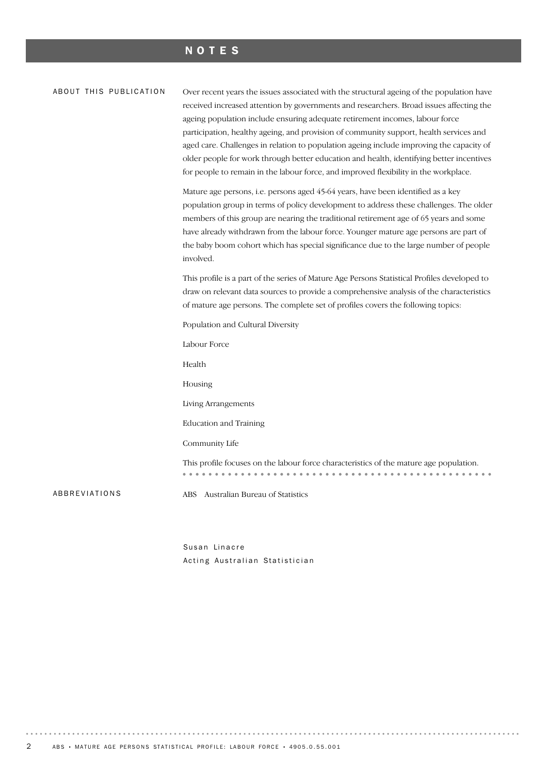### NOTES

#### ABOUT THIS PUBLICATION

Over recent years the issues associated with the structural ageing of the population have received increased attention by governments and researchers. Broad issues affecting the ageing population include ensuring adequate retirement incomes, labour force participation, healthy ageing, and provision of community support, health services and aged care. Challenges in relation to population ageing include improving the capacity of older people for work through better education and health, identifying better incentives for people to remain in the labour force, and improved flexibility in the workplace.

Mature age persons, i.e. persons aged 45-64 years, have been identified as a key population group in terms of policy development to address these challenges. The older members of this group are nearing the traditional retirement age of 65 years and some have already withdrawn from the labour force. Younger mature age persons are part of the baby boom cohort which has special significance due to the large number of people involved.

This profile is a part of the series of Mature Age Persons Statistical Profiles developed to draw on relevant data sources to provide a comprehensive analysis of the characteristics of mature age persons. The complete set of profiles covers the following topics:

Population and Cultural Diversity

Labour Force

Health

Housing

Living Arrangements

Education and Training

Community Life

This profile focuses on the labour force characteristics of the mature age population. 

ABBREVIATIONS ABS Australian Bureau of Statistics

Susan Linacre Acting Australian Statistician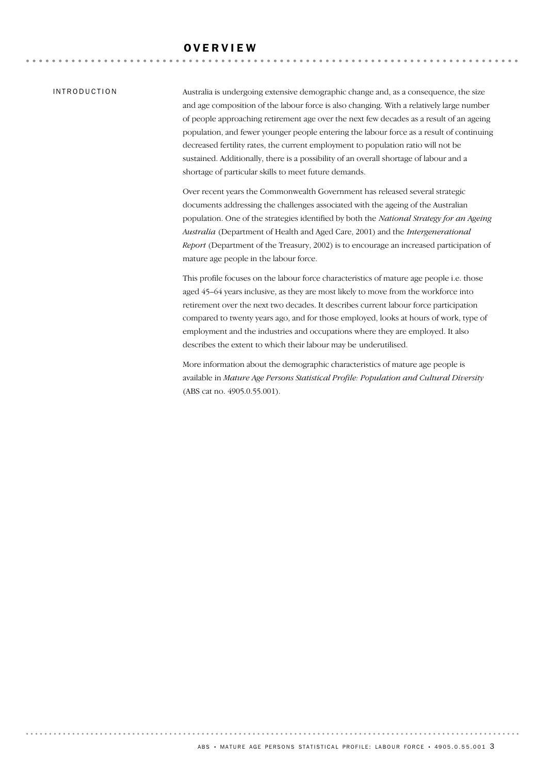### **OVERVIEW**

#### INTRODUCTION

Australia is undergoing extensive demographic change and, as a consequence, the size and age composition of the labour force is also changing. With a relatively large number of people approaching retirement age over the next few decades as a result of an ageing population, and fewer younger people entering the labour force as a result of continuing decreased fertility rates, the current employment to population ratio will not be sustained. Additionally, there is a possibility of an overall shortage of labour and a shortage of particular skills to meet future demands.

Over recent years the Commonwealth Government has released several strategic documents addressing the challenges associated with the ageing of the Australian population. One of the strategies identified by both the *National Strategy for an Ageing Australia* (Department of Health and Aged Care, 2001) and the *Intergenerational Report* (Department of the Treasury, 2002) is to encourage an increased participation of mature age people in the labour force.

This profile focuses on the labour force characteristics of mature age people i.e. those aged 45–64 years inclusive, as they are most likely to move from the workforce into retirement over the next two decades. It describes current labour force participation compared to twenty years ago, and for those employed, looks at hours of work, type of employment and the industries and occupations where they are employed. It also describes the extent to which their labour may be underutilised.

More information about the demographic characteristics of mature age people is available in *Mature Age Persons Statistical Profile: Population and Cultural Diversity* (ABS cat no. 4905.0.55.001).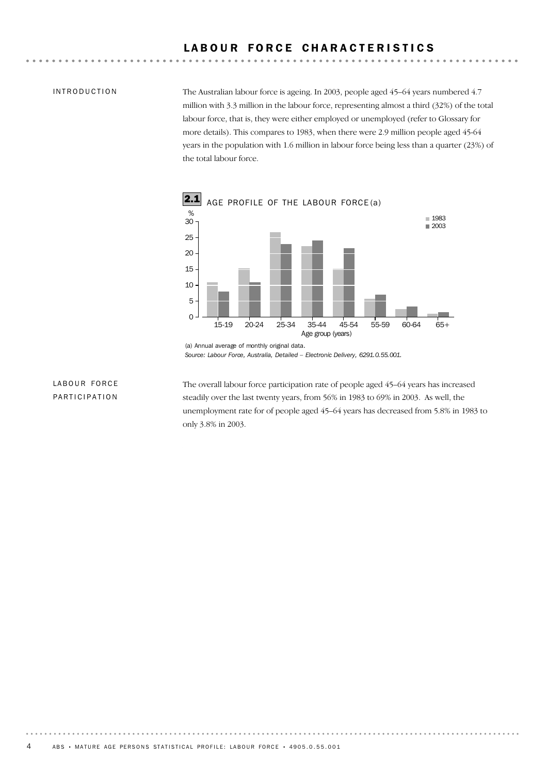### LABOUR FORCE CHARACTERISTICS

### INTRODUCTION

The Australian labour force is ageing. In 2003, people aged 45–64 years numbered 4.7 million with 3.3 million in the labour force, representing almost a third (32%) of the total labour force, that is, they were either employed or unemployed (refer to Glossary for more details). This compares to 1983, when there were 2.9 million people aged 45-64 years in the population with 1.6 million in labour force being less than a quarter (23%) of the total labour force.



*Source: Labour Force, Australia, Detailed – Electronic Delivery, 6291.0.55.001.*

### LABOUR FORCE PARTICIPATION

The overall labour force participation rate of people aged 45–64 years has increased steadily over the last twenty years, from 56% in 1983 to 69% in 2003. As well, the unemployment rate for of people aged 45–64 years has decreased from 5.8% in 1983 to only 3.8% in 2003.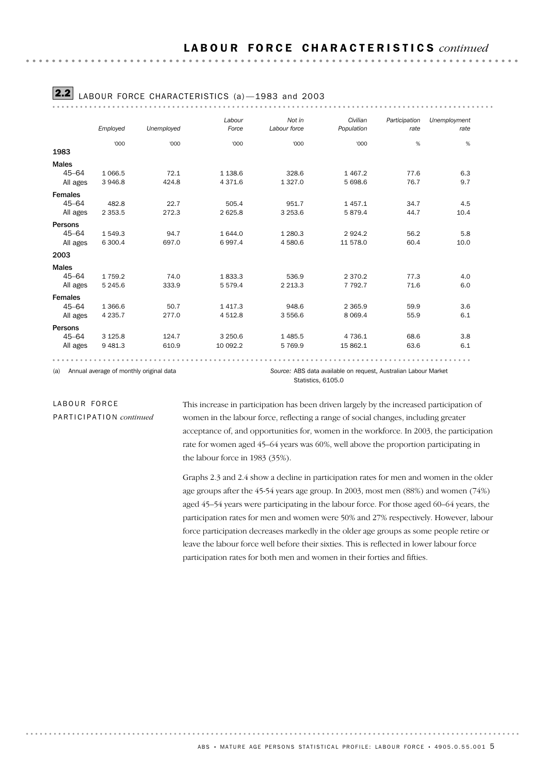|                |                                         |            | Labour      | Not in             | Civilian                                                        | Participation | Unemployment |
|----------------|-----------------------------------------|------------|-------------|--------------------|-----------------------------------------------------------------|---------------|--------------|
|                | Employed                                | Unemployed | Force       | Labour force       | Population                                                      | rate          | rate         |
|                | '000                                    | '000       | '000        | '000               | '000                                                            | $\%$          | $\%$         |
| 1983           |                                         |            |             |                    |                                                                 |               |              |
| <b>Males</b>   |                                         |            |             |                    |                                                                 |               |              |
| $45 - 64$      | 1 0 66.5                                | 72.1       | 1 1 38.6    | 328.6              | 1467.2                                                          | 77.6          | 6.3          |
| All ages       | 3 946.8                                 | 424.8      | 4 3 7 1.6   | 1 3 2 7 .0         | 5 698.6                                                         | 76.7          | 9.7          |
| <b>Females</b> |                                         |            |             |                    |                                                                 |               |              |
| $45 - 64$      | 482.8                                   | 22.7       | 505.4       | 951.7              | 1 4 5 7 . 1                                                     | 34.7          | 4.5          |
| All ages       | 2 3 5 3 . 5                             | 272.3      | 2 6 2 5.8   | 3 2 5 3 . 6        | 5879.4                                                          | 44.7          | 10.4         |
| Persons        |                                         |            |             |                    |                                                                 |               |              |
| $45 - 64$      | 1549.3                                  | 94.7       | 1 644.0     | 1 2 8 0.3          | 2924.2                                                          | 56.2          | 5.8          |
| All ages       | 6 300.4                                 | 697.0      | 6997.4      | 4 580.6            | 11 578.0                                                        | 60.4          | 10.0         |
| 2003           |                                         |            |             |                    |                                                                 |               |              |
| <b>Males</b>   |                                         |            |             |                    |                                                                 |               |              |
| $45 - 64$      | 1759.2                                  | 74.0       | 1833.3      | 536.9              | 2 3 7 0 . 2                                                     | 77.3          | 4.0          |
| All ages       | 5 2 4 5 . 6                             | 333.9      | 5 5 7 9.4   | 2 2 1 3 . 3        | 7 7 9 2.7                                                       | 71.6          | 6.0          |
| <b>Females</b> |                                         |            |             |                    |                                                                 |               |              |
| $45 - 64$      | 1 3 6 6.6                               | 50.7       | 1 4 1 7 . 3 | 948.6              | 2 3 6 5.9                                                       | 59.9          | 3.6          |
| All ages       | 4 2 3 5.7                               | 277.0      | 4 5 1 2.8   | 3 556.6            | 8 0 6 9.4                                                       | 55.9          | 6.1          |
| Persons        |                                         |            |             |                    |                                                                 |               |              |
| $45 - 64$      | 3 1 2 5 . 8                             | 124.7      | 3 2 5 0.6   | 1485.5             | 4 7 3 6 . 1                                                     | 68.6          | 3.8          |
| All ages       | 9 4 8 1.3                               | 610.9      | 10 092.2    | 5 7 6 9.9          | 15 862.1                                                        | 63.6          | 6.1          |
|                |                                         |            |             |                    |                                                                 |               |              |
| (a)            | Annual average of monthly original data |            |             | Statistics, 6105.0 | Source: ABS data available on request, Australian Labour Market |               |              |

# **2.2** LABOUR FORCE CHARACTERISTICS (a) -1983 and 2003

LABOUR FORCE PARTICIPATION *continued* This increase in participation has been driven largely by the increased participation of women in the labour force, reflecting a range of social changes, including greater acceptance of, and opportunities for, women in the workforce. In 2003, the participation rate for women aged 45–64 years was 60%, well above the proportion participating in the labour force in 1983 (35%).

Graphs 2.3 and 2.4 show a decline in participation rates for men and women in the older age groups after the 45-54 years age group. In 2003, most men (88%) and women (74%) aged 45–54 years were participating in the labour force. For those aged 60–64 years, the participation rates for men and women were 50% and 27% respectively. However, labour force participation decreases markedly in the older age groups as some people retire or leave the labour force well before their sixties. This is reflected in lower labour force participation rates for both men and women in their forties and fifties.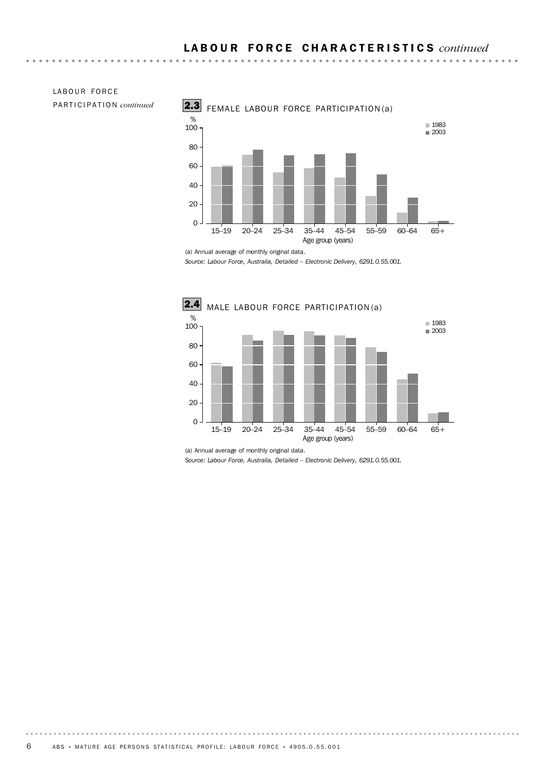

PARTICIPATION *continued*

LABOUR FORCE

. . . . . . . . . . . . .

*Source: Labour Force, Australia, Detailed – Electronic Delivery, 6291.0.55.001.*

-------



<sup>(</sup>a) Annual average of monthly original data.

<sup>(</sup>a) Annual average of monthly original data.

*Source: Labour Force, Australia, Detailed – Electronic Delivery, 6291.0.55.001.*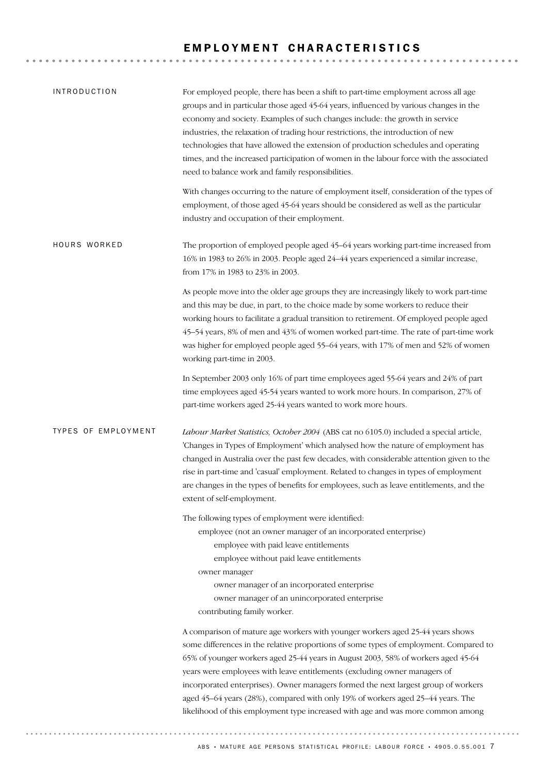### EMPLOYMENT CHARACTERISTICS

| <b>INTRODUCTION</b>        | For employed people, there has been a shift to part-time employment across all age<br>groups and in particular those aged 45-64 years, influenced by various changes in the<br>economy and society. Examples of such changes include: the growth in service<br>industries, the relaxation of trading hour restrictions, the introduction of new<br>technologies that have allowed the extension of production schedules and operating<br>times, and the increased participation of women in the labour force with the associated<br>need to balance work and family responsibilities. |
|----------------------------|---------------------------------------------------------------------------------------------------------------------------------------------------------------------------------------------------------------------------------------------------------------------------------------------------------------------------------------------------------------------------------------------------------------------------------------------------------------------------------------------------------------------------------------------------------------------------------------|
|                            | With changes occurring to the nature of employment itself, consideration of the types of<br>employment, of those aged 45-64 years should be considered as well as the particular<br>industry and occupation of their employment.                                                                                                                                                                                                                                                                                                                                                      |
| HOURS WORKED               | The proportion of employed people aged 45-64 years working part-time increased from<br>16% in 1983 to 26% in 2003. People aged 24-44 years experienced a similar increase,<br>from 17% in 1983 to 23% in 2003.                                                                                                                                                                                                                                                                                                                                                                        |
|                            | As people move into the older age groups they are increasingly likely to work part-time<br>and this may be due, in part, to the choice made by some workers to reduce their<br>working hours to facilitate a gradual transition to retirement. Of employed people aged<br>45-54 years, 8% of men and 43% of women worked part-time. The rate of part-time work<br>was higher for employed people aged 55-64 years, with 17% of men and 52% of women<br>working part-time in 2003.                                                                                                     |
|                            | In September 2003 only 16% of part time employees aged 55-64 years and 24% of part<br>time employees aged 45-54 years wanted to work more hours. In comparison, 27% of<br>part-time workers aged 25-44 years wanted to work more hours.                                                                                                                                                                                                                                                                                                                                               |
| <b>TYPES OF EMPLOYMENT</b> | Labour Market Statistics, October 2004 (ABS cat no 6105.0) included a special article,<br>'Changes in Types of Employment' which analysed how the nature of employment has<br>changed in Australia over the past few decades, with considerable attention given to the<br>rise in part-time and 'casual' employment. Related to changes in types of employment<br>are changes in the types of benefits for employees, such as leave entitlements, and the<br>extent of self-employment.                                                                                               |
|                            | The following types of employment were identified:<br>employee (not an owner manager of an incorporated enterprise)<br>employee with paid leave entitlements<br>employee without paid leave entitlements<br>owner manager<br>owner manager of an incorporated enterprise<br>owner manager of an unincorporated enterprise<br>contributing family worker.                                                                                                                                                                                                                              |
|                            | A comparison of mature age workers with younger workers aged 25-44 years shows<br>some differences in the relative proportions of some types of employment. Compared to<br>65% of younger workers aged 25-44 years in August 2003, 58% of workers aged 45-64<br>years were employees with leave entitlements (excluding owner managers of<br>incorporated enterprises). Owner managers formed the next largest group of workers<br>aged 45-64 years (28%), compared with only 19% of workers aged 25-44 years. The                                                                    |
|                            | likelihood of this employment type increased with age and was more common among                                                                                                                                                                                                                                                                                                                                                                                                                                                                                                       |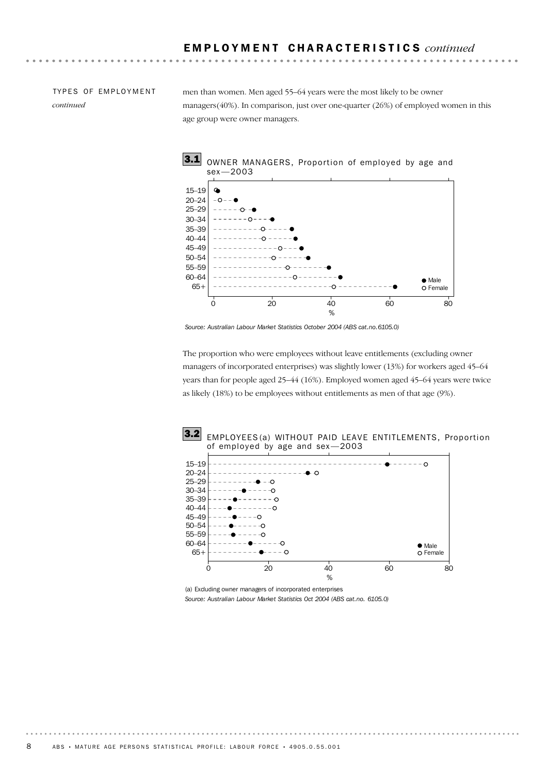TYPES OF EMPLOYMENT *continued*

men than women. Men aged 55–64 years were the most likely to be owner managers(40%). In comparison, just over one-quarter (26%) of employed women in this age group were owner managers.



*Source: Australian Labour Market Statistics October 2004 (ABS cat.no.6105.0)*

The proportion who were employees without leave entitlements (excluding owner managers of incorporated enterprises) was slightly lower (13%) for workers aged 45–64 years than for people aged 25–44 (16%). Employed women aged 45–64 years were twice as likely (18%) to be employees without entitlements as men of that age (9%).



(a) Excluding owner managers of incorporated enterprises *Source: Australian Labour Market Statistics Oct 2004 (ABS cat.no. 6105.0)*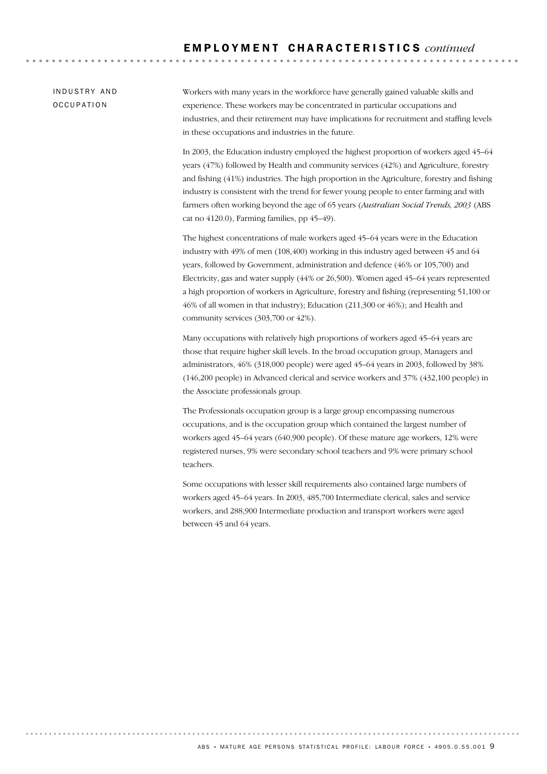. . . . . . . . . . . . . . . . . . . .

INDUSTRY AND **OCCUPATION** 

Workers with many years in the workforce have generally gained valuable skills and experience. These workers may be concentrated in particular occupations and industries, and their retirement may have implications for recruitment and staffing levels in these occupations and industries in the future.

In 2003, the Education industry employed the highest proportion of workers aged 45–64 years (47%) followed by Health and community services (42%) and Agriculture, forestry and fishing (41%) industries. The high proportion in the Agriculture, forestry and fishing industry is consistent with the trend for fewer young people to enter farming and with farmers often working beyond the age of 65 years (*Australian Social Trends, 2003* (ABS cat no 4120.0), Farming families, pp 45–49).

The highest concentrations of male workers aged 45–64 years were in the Education industry with 49% of men (108,400) working in this industry aged between 45 and 64 years, followed by Government, administration and defence (46% or 105,700) and Electricity, gas and water supply (44% or 26,500). Women aged 45–64 years represented a high proportion of workers in Agriculture, forestry and fishing (representing 51,100 or 46% of all women in that industry); Education (211,300 or 46%); and Health and community services (303,700 or 42%).

Many occupations with relatively high proportions of workers aged 45–64 years are those that require higher skill levels. In the broad occupation group, Managers and administrators, 46% (318,000 people) were aged 45–64 years in 2003, followed by 38% (146,200 people) in Advanced clerical and service workers and 37% (432,100 people) in the Associate professionals group.

The Professionals occupation group is a large group encompassing numerous occupations, and is the occupation group which contained the largest number of workers aged 45–64 years (640,900 people). Of these mature age workers, 12% were registered nurses, 9% were secondary school teachers and 9% were primary school teachers.

Some occupations with lesser skill requirements also contained large numbers of workers aged 45–64 years. In 2003, 485,700 Intermediate clerical, sales and service workers, and 288,900 Intermediate production and transport workers were aged between 45 and 64 years.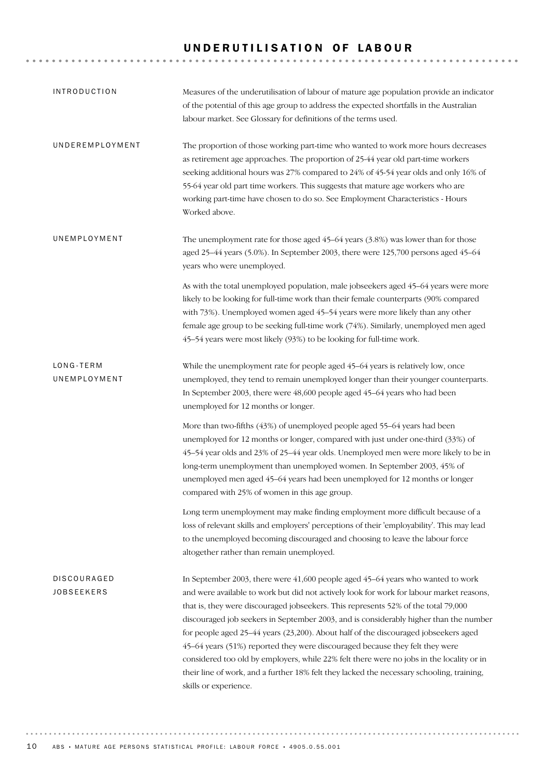# UNDERUTILISATION OF LABOUR

| <b>INTRODUCTION</b>              | Measures of the underutilisation of labour of mature age population provide an indicator<br>of the potential of this age group to address the expected shortfalls in the Australian<br>labour market. See Glossary for definitions of the terms used.                                                                                                                                                                                                                                                                                                                                                                                                                                                                                               |
|----------------------------------|-----------------------------------------------------------------------------------------------------------------------------------------------------------------------------------------------------------------------------------------------------------------------------------------------------------------------------------------------------------------------------------------------------------------------------------------------------------------------------------------------------------------------------------------------------------------------------------------------------------------------------------------------------------------------------------------------------------------------------------------------------|
| UNDEREMPLOYMENT                  | The proportion of those working part-time who wanted to work more hours decreases<br>as retirement age approaches. The proportion of 25-44 year old part-time workers<br>seeking additional hours was 27% compared to 24% of 45-54 year olds and only 16% of<br>55-64 year old part time workers. This suggests that mature age workers who are<br>working part-time have chosen to do so. See Employment Characteristics - Hours<br>Worked above.                                                                                                                                                                                                                                                                                                  |
| UNEMPLOYMENT                     | The unemployment rate for those aged 45-64 years (3.8%) was lower than for those<br>aged 25-44 years (5.0%). In September 2003, there were 125,700 persons aged 45-64<br>years who were unemployed.                                                                                                                                                                                                                                                                                                                                                                                                                                                                                                                                                 |
|                                  | As with the total unemployed population, male jobseekers aged 45-64 years were more<br>likely to be looking for full-time work than their female counterparts (90% compared<br>with 73%). Unemployed women aged 45-54 years were more likely than any other<br>female age group to be seeking full-time work (74%). Similarly, unemployed men aged<br>45-54 years were most likely (93%) to be looking for full-time work.                                                                                                                                                                                                                                                                                                                          |
| LONG-TERM<br>UNEMPLOYMENT        | While the unemployment rate for people aged 45–64 years is relatively low, once<br>unemployed, they tend to remain unemployed longer than their younger counterparts.<br>In September 2003, there were 48,600 people aged 45-64 years who had been<br>unemployed for 12 months or longer.                                                                                                                                                                                                                                                                                                                                                                                                                                                           |
|                                  | More than two-fifths (43%) of unemployed people aged 55-64 years had been<br>unemployed for 12 months or longer, compared with just under one-third (33%) of<br>45-54 year olds and 23% of 25-44 year olds. Unemployed men were more likely to be in<br>long-term unemployment than unemployed women. In September 2003, 45% of<br>unemployed men aged 45-64 years had been unemployed for 12 months or longer<br>compared with 25% of women in this age group.                                                                                                                                                                                                                                                                                     |
|                                  | Long term unemployment may make finding employment more difficult because of a<br>loss of relevant skills and employers' perceptions of their 'employability'. This may lead<br>to the unemployed becoming discouraged and choosing to leave the labour force<br>altogether rather than remain unemployed.                                                                                                                                                                                                                                                                                                                                                                                                                                          |
| DISCOURAGED<br><b>JOBSEEKERS</b> | In September 2003, there were 41,600 people aged 45–64 years who wanted to work<br>and were available to work but did not actively look for work for labour market reasons,<br>that is, they were discouraged jobseekers. This represents 52% of the total 79,000<br>discouraged job seekers in September 2003, and is considerably higher than the number<br>for people aged 25-44 years (23,200). About half of the discouraged jobseekers aged<br>45-64 years (51%) reported they were discouraged because they felt they were<br>considered too old by employers, while 22% felt there were no jobs in the locality or in<br>their line of work, and a further 18% felt they lacked the necessary schooling, training,<br>skills or experience. |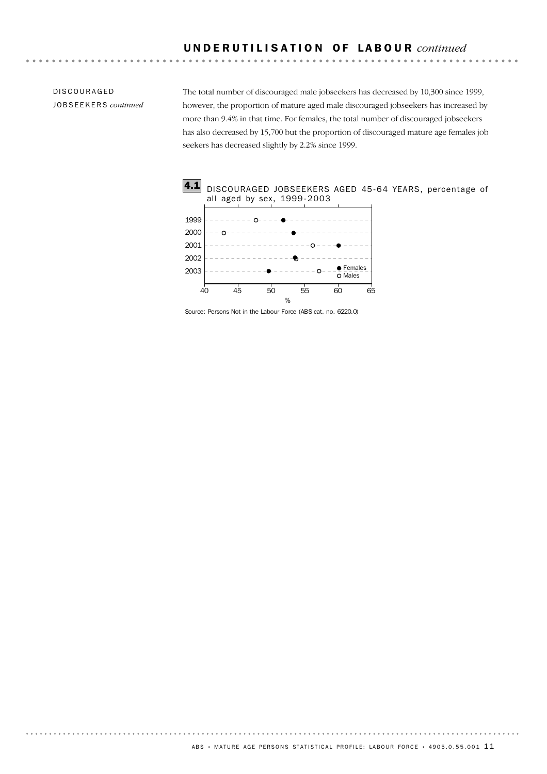### U N D E R U T I L I S A T I O N O F L A B O U R *continued*

DISCOURAGED JOBSEEKERS *continued* The total number of discouraged male jobseekers has decreased by 10,300 since 1999, however, the proportion of mature aged male discouraged jobseekers has increased by more than 9.4% in that time. For females, the total number of discouraged jobseekers has also decreased by 15,700 but the proportion of discouraged mature age females job seekers has decreased slightly by 2.2% since 1999.



Source: Persons Not in the Labour Force (ABS cat. no. 6220.0)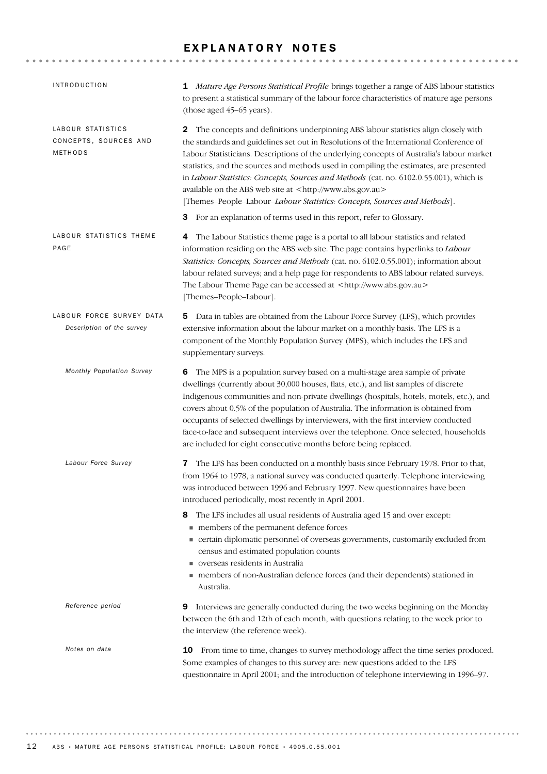### EXPLANATORY NOTES

| <b>INTRODUCTION</b>                                   | 1 Mature Age Persons Statistical Profile brings together a range of ABS labour statistics<br>to present a statistical summary of the labour force characteristics of mature age persons<br>(those aged 45-65 years).                                                                                                                                                                                                                                                                                                                                                                                                   |
|-------------------------------------------------------|------------------------------------------------------------------------------------------------------------------------------------------------------------------------------------------------------------------------------------------------------------------------------------------------------------------------------------------------------------------------------------------------------------------------------------------------------------------------------------------------------------------------------------------------------------------------------------------------------------------------|
| LABOUR STATISTICS<br>CONCEPTS, SOURCES AND<br>METHODS | The concepts and definitions underpinning ABS labour statistics align closely with<br>2<br>the standards and guidelines set out in Resolutions of the International Conference of<br>Labour Statisticians. Descriptions of the underlying concepts of Australia's labour market<br>statistics, and the sources and methods used in compiling the estimates, are presented<br>in Labour Statistics: Concepts, Sources and Methods (cat. no. 6102.0.55.001), which is<br>available on the ABS web site at <http: www.abs.gov.au=""><br/>[Themes-People-Labour-Labour Statistics: Concepts, Sources and Methods].</http:> |
|                                                       | <b>3</b> For an explanation of terms used in this report, refer to Glossary.                                                                                                                                                                                                                                                                                                                                                                                                                                                                                                                                           |
| LABOUR STATISTICS THEME<br>PAGE                       | The Labour Statistics theme page is a portal to all labour statistics and related<br>4<br>information residing on the ABS web site. The page contains hyperlinks to Labour<br>Statistics: Concepts, Sources and Methods (cat. no. 6102.0.55.001); information about<br>labour related surveys; and a help page for respondents to ABS labour related surveys.<br>The Labour Theme Page can be accessed at <http: www.abs.gov.au=""><br/>[Themes-People-Labour].</http:>                                                                                                                                                |
| LABOUR FORCE SURVEY DATA<br>Description of the survey | Data in tables are obtained from the Labour Force Survey (LFS), which provides<br>5.<br>extensive information about the labour market on a monthly basis. The LFS is a<br>component of the Monthly Population Survey (MPS), which includes the LFS and<br>supplementary surveys.                                                                                                                                                                                                                                                                                                                                       |
| Monthly Population Survey                             | The MPS is a population survey based on a multi-stage area sample of private<br>6<br>dwellings (currently about 30,000 houses, flats, etc.), and list samples of discrete<br>Indigenous communities and non-private dwellings (hospitals, hotels, motels, etc.), and<br>covers about 0.5% of the population of Australia. The information is obtained from<br>occupants of selected dwellings by interviewers, with the first interview conducted<br>face-to-face and subsequent interviews over the telephone. Once selected, households<br>are included for eight consecutive months before being replaced.          |
| Labour Force Survey                                   | The LFS has been conducted on a monthly basis since February 1978. Prior to that,<br>7<br>from 1964 to 1978, a national survey was conducted quarterly. Telephone interviewing<br>was introduced between 1996 and February 1997. New questionnaires have been<br>introduced periodically, most recently in April 2001.                                                                                                                                                                                                                                                                                                 |
|                                                       | The LFS includes all usual residents of Australia aged 15 and over except:<br>8<br>members of the permanent defence forces<br>• certain diplomatic personnel of overseas governments, customarily excluded from<br>census and estimated population counts<br>verseas residents in Australia<br>members of non-Australian defence forces (and their dependents) stationed in                                                                                                                                                                                                                                            |
|                                                       | Australia.                                                                                                                                                                                                                                                                                                                                                                                                                                                                                                                                                                                                             |
| Reference period                                      | Interviews are generally conducted during the two weeks beginning on the Monday<br>9<br>between the 6th and 12th of each month, with questions relating to the week prior to<br>the interview (the reference week).                                                                                                                                                                                                                                                                                                                                                                                                    |
| Notes on data                                         | From time to time, changes to survey methodology affect the time series produced.<br>10<br>Some examples of changes to this survey are: new questions added to the LFS<br>questionnaire in April 2001; and the introduction of telephone interviewing in 1996-97.                                                                                                                                                                                                                                                                                                                                                      |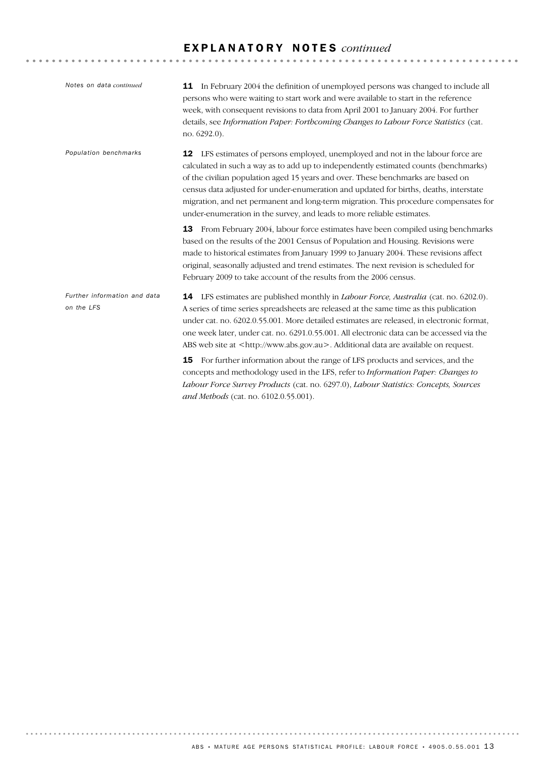## E X P L A N A T O R Y N O T E S *continued*

| Notes on data continued                    | <b>11</b> In February 2004 the definition of unemployed persons was changed to include all<br>persons who were waiting to start work and were available to start in the reference<br>week, with consequent revisions to data from April 2001 to January 2004. For further<br>details, see Information Paper: Forthcoming Changes to Labour Force Statistics (cat.<br>no. 6292.0).                                                                                                                                          |
|--------------------------------------------|----------------------------------------------------------------------------------------------------------------------------------------------------------------------------------------------------------------------------------------------------------------------------------------------------------------------------------------------------------------------------------------------------------------------------------------------------------------------------------------------------------------------------|
| Population benchmarks                      | LFS estimates of persons employed, unemployed and not in the labour force are<br>12<br>calculated in such a way as to add up to independently estimated counts (benchmarks)<br>of the civilian population aged 15 years and over. These benchmarks are based on<br>census data adjusted for under-enumeration and updated for births, deaths, interstate<br>migration, and net permanent and long-term migration. This procedure compensates for<br>under-enumeration in the survey, and leads to more reliable estimates. |
|                                            | From February 2004, labour force estimates have been compiled using benchmarks<br>13<br>based on the results of the 2001 Census of Population and Housing. Revisions were<br>made to historical estimates from January 1999 to January 2004. These revisions affect<br>original, seasonally adjusted and trend estimates. The next revision is scheduled for<br>February 2009 to take account of the results from the 2006 census.                                                                                         |
| Further information and data<br>on the LFS | <b>14</b> LFS estimates are published monthly in <i>Labour Force</i> , <i>Australia</i> (cat. no. 6202.0).<br>A series of time series spreadsheets are released at the same time as this publication<br>under cat. no. 6202.0.55.001. More detailed estimates are released, in electronic format,<br>one week later, under cat. no. 6291.0.55.001. All electronic data can be accessed via the<br>ABS web site at <http: www.abs.gov.au="">. Additional data are available on request.</http:>                             |
|                                            | For further information about the range of LFS products and services, and the<br>15<br>concepts and methodology used in the LFS, refer to Information Paper: Changes to<br>Labour Force Survey Products (cat. no. 6297.0), Labour Statistics: Concepts, Sources<br>and Methods (cat. no. 6102.0.55.001).                                                                                                                                                                                                                   |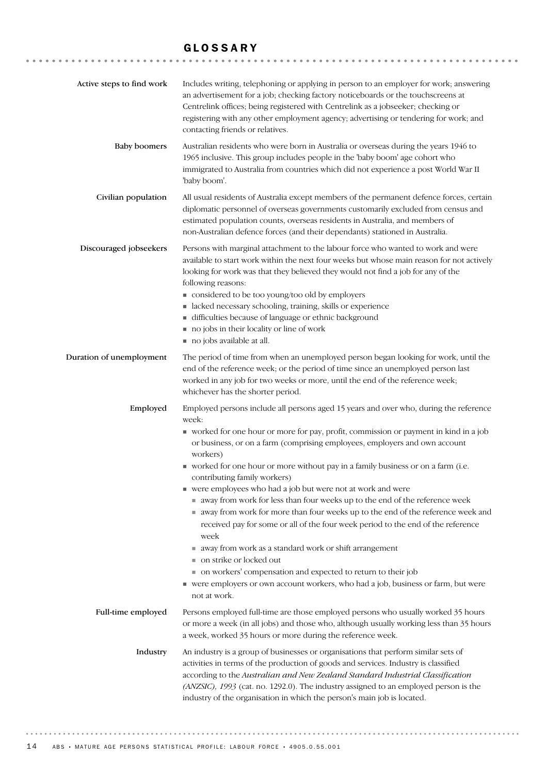### GLOSSARY

| Active steps to find work | Includes writing, telephoning or applying in person to an employer for work; answering<br>an advertisement for a job; checking factory noticeboards or the touchscreens at<br>Centrelink offices; being registered with Centrelink as a jobseeker; checking or<br>registering with any other employment agency; advertising or tendering for work; and<br>contacting friends or relatives.                                                                                                                                                                                                                                                                                                                                                                                                                                                                                                                                                                                                      |
|---------------------------|-------------------------------------------------------------------------------------------------------------------------------------------------------------------------------------------------------------------------------------------------------------------------------------------------------------------------------------------------------------------------------------------------------------------------------------------------------------------------------------------------------------------------------------------------------------------------------------------------------------------------------------------------------------------------------------------------------------------------------------------------------------------------------------------------------------------------------------------------------------------------------------------------------------------------------------------------------------------------------------------------|
| <b>Baby boomers</b>       | Australian residents who were born in Australia or overseas during the years 1946 to<br>1965 inclusive. This group includes people in the 'baby boom' age cohort who<br>immigrated to Australia from countries which did not experience a post World War II<br>'baby boom'.                                                                                                                                                                                                                                                                                                                                                                                                                                                                                                                                                                                                                                                                                                                     |
| Civilian population       | All usual residents of Australia except members of the permanent defence forces, certain<br>diplomatic personnel of overseas governments customarily excluded from census and<br>estimated population counts, overseas residents in Australia, and members of<br>non-Australian defence forces (and their dependants) stationed in Australia.                                                                                                                                                                                                                                                                                                                                                                                                                                                                                                                                                                                                                                                   |
| Discouraged jobseekers    | Persons with marginal attachment to the labour force who wanted to work and were<br>available to start work within the next four weeks but whose main reason for not actively<br>looking for work was that they believed they would not find a job for any of the<br>following reasons:<br>considered to be too young/too old by employers<br>• lacked necessary schooling, training, skills or experience<br>difficulties because of language or ethnic background<br>no jobs in their locality or line of work<br>no jobs available at all.                                                                                                                                                                                                                                                                                                                                                                                                                                                   |
| Duration of unemployment  | The period of time from when an unemployed person began looking for work, until the<br>end of the reference week; or the period of time since an unemployed person last<br>worked in any job for two weeks or more, until the end of the reference week;<br>whichever has the shorter period.                                                                                                                                                                                                                                                                                                                                                                                                                                                                                                                                                                                                                                                                                                   |
| Employed                  | Employed persons include all persons aged 15 years and over who, during the reference<br>week:<br>vorked for one hour or more for pay, profit, commission or payment in kind in a job<br>or business, or on a farm (comprising employees, employers and own account<br>workers)<br>worked for one hour or more without pay in a family business or on a farm (i.e.<br>contributing family workers)<br>■ were employees who had a job but were not at work and were<br>away from work for less than four weeks up to the end of the reference week<br>away from work for more than four weeks up to the end of the reference week and<br>received pay for some or all of the four week period to the end of the reference<br>week<br>■ away from work as a standard work or shift arrangement<br>on strike or locked out<br>• on workers' compensation and expected to return to their job<br>• were employers or own account workers, who had a job, business or farm, but were<br>not at work. |
| Full-time employed        | Persons employed full-time are those employed persons who usually worked 35 hours<br>or more a week (in all jobs) and those who, although usually working less than 35 hours<br>a week, worked 35 hours or more during the reference week.                                                                                                                                                                                                                                                                                                                                                                                                                                                                                                                                                                                                                                                                                                                                                      |
| Industry                  | An industry is a group of businesses or organisations that perform similar sets of<br>activities in terms of the production of goods and services. Industry is classified<br>according to the Australian and New Zealand Standard Industrial Classification<br>(ANZSIC), 1993 (cat. no. 1292.0). The industry assigned to an employed person is the<br>industry of the organisation in which the person's main job is located.                                                                                                                                                                                                                                                                                                                                                                                                                                                                                                                                                                  |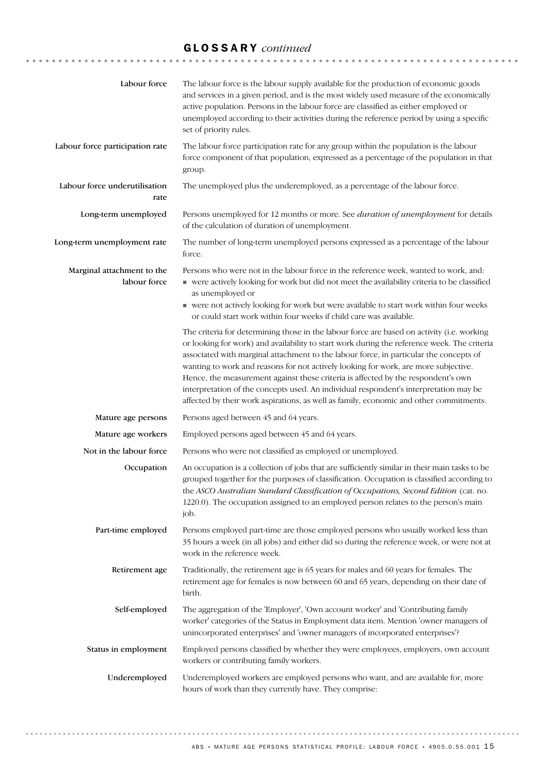# GLOSSARY *continued*

| Labour force                               | The labour force is the labour supply available for the production of economic goods<br>and services in a given period, and is the most widely used measure of the economically<br>active population. Persons in the labour force are classified as either employed or<br>unemployed according to their activities during the reference period by using a specific<br>set of priority rules.                                                                                                                                                                                                                                                       |
|--------------------------------------------|----------------------------------------------------------------------------------------------------------------------------------------------------------------------------------------------------------------------------------------------------------------------------------------------------------------------------------------------------------------------------------------------------------------------------------------------------------------------------------------------------------------------------------------------------------------------------------------------------------------------------------------------------|
| Labour force participation rate            | The labour force participation rate for any group within the population is the labour<br>force component of that population, expressed as a percentage of the population in that<br>group.                                                                                                                                                                                                                                                                                                                                                                                                                                                         |
| Labour force underutilisation<br>rate      | The unemployed plus the underemployed, as a percentage of the labour force.                                                                                                                                                                                                                                                                                                                                                                                                                                                                                                                                                                        |
| Long-term unemployed                       | Persons unemployed for 12 months or more. See <i>duration of unemployment</i> for details<br>of the calculation of duration of unemployment.                                                                                                                                                                                                                                                                                                                                                                                                                                                                                                       |
| Long-term unemployment rate                | The number of long-term unemployed persons expressed as a percentage of the labour<br>force.                                                                                                                                                                                                                                                                                                                                                                                                                                                                                                                                                       |
| Marginal attachment to the<br>labour force | Persons who were not in the labour force in the reference week, wanted to work, and:<br>• were actively looking for work but did not meet the availability criteria to be classified<br>as unemployed or<br>• were not actively looking for work but were available to start work within four weeks<br>or could start work within four weeks if child care was available.                                                                                                                                                                                                                                                                          |
|                                            | The criteria for determining those in the labour force are based on activity (i.e. working<br>or looking for work) and availability to start work during the reference week. The criteria<br>associated with marginal attachment to the labour force, in particular the concepts of<br>wanting to work and reasons for not actively looking for work, are more subjective.<br>Hence, the measurement against these criteria is affected by the respondent's own<br>interpretation of the concepts used. An individual respondent's interpretation may be<br>affected by their work aspirations, as well as family, economic and other commitments. |
| Mature age persons                         | Persons aged between 45 and 64 years.                                                                                                                                                                                                                                                                                                                                                                                                                                                                                                                                                                                                              |
| Mature age workers                         | Employed persons aged between 45 and 64 years.                                                                                                                                                                                                                                                                                                                                                                                                                                                                                                                                                                                                     |
| Not in the labour force                    | Persons who were not classified as employed or unemployed.                                                                                                                                                                                                                                                                                                                                                                                                                                                                                                                                                                                         |
| Occupation                                 | An occupation is a collection of jobs that are sufficiently similar in their main tasks to be<br>grouped together for the purposes of classification. Occupation is classified according to<br>the ASCO Australian Standard Classification of Occupations, Second Edition (cat. no.<br>1220.0). The occupation assigned to an employed person relates to the person's main<br>job.                                                                                                                                                                                                                                                                 |
| Part-time employed                         | Persons employed part-time are those employed persons who usually worked less than<br>35 hours a week (in all jobs) and either did so during the reference week, or were not at<br>work in the reference week.                                                                                                                                                                                                                                                                                                                                                                                                                                     |
| Retirement age                             | Traditionally, the retirement age is 65 years for males and 60 years for females. The<br>retirement age for females is now between 60 and 65 years, depending on their date of<br>birth.                                                                                                                                                                                                                                                                                                                                                                                                                                                           |
| Self-employed                              | The aggregation of the 'Employer', 'Own account worker' and 'Contributing family<br>worker' categories of the Status in Employment data item. Mention 'owner managers of<br>unincorporated enterprises' and 'owner managers of incorporated enterprises'?                                                                                                                                                                                                                                                                                                                                                                                          |
| Status in employment                       | Employed persons classified by whether they were employees, employers, own account<br>workers or contributing family workers.                                                                                                                                                                                                                                                                                                                                                                                                                                                                                                                      |
| Underemployed                              | Underemployed workers are employed persons who want, and are available for, more<br>hours of work than they currently have. They comprise:                                                                                                                                                                                                                                                                                                                                                                                                                                                                                                         |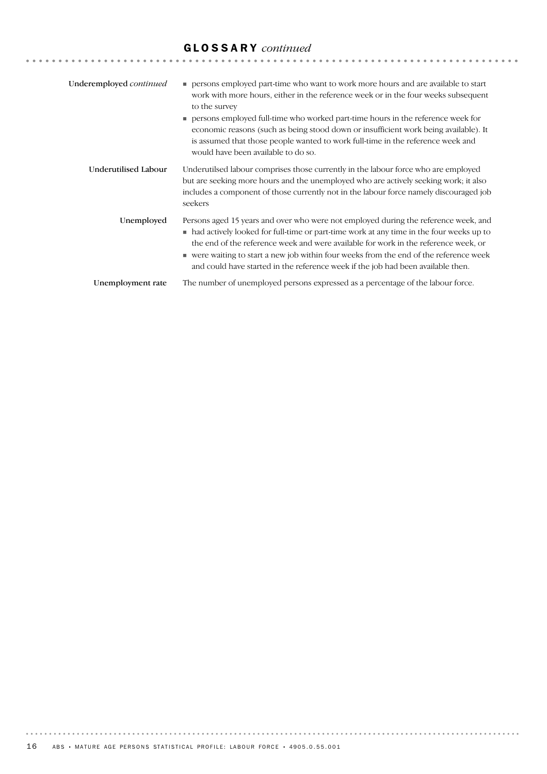# GLOSSARY *continued*

| Underemployed continued | persons employed part-time who want to work more hours and are available to start<br>work with more hours, either in the reference week or in the four weeks subsequent<br>to the survey<br>persons employed full-time who worked part-time hours in the reference week for<br>economic reasons (such as being stood down or insufficient work being available). It<br>is assumed that those people wanted to work full-time in the reference week and<br>would have been available to do so. |
|-------------------------|-----------------------------------------------------------------------------------------------------------------------------------------------------------------------------------------------------------------------------------------------------------------------------------------------------------------------------------------------------------------------------------------------------------------------------------------------------------------------------------------------|
| Underutilised Labour    | Underutilsed labour comprises those currently in the labour force who are employed<br>but are seeking more hours and the unemployed who are actively seeking work; it also<br>includes a component of those currently not in the labour force namely discouraged job<br>seekers                                                                                                                                                                                                               |
| Unemployed              | Persons aged 15 years and over who were not employed during the reference week, and<br>• had actively looked for full-time or part-time work at any time in the four weeks up to<br>the end of the reference week and were available for work in the reference week, or<br>■ were waiting to start a new job within four weeks from the end of the reference week<br>and could have started in the reference week if the job had been available then.                                         |
| Unemployment rate       | The number of unemployed persons expressed as a percentage of the labour force.                                                                                                                                                                                                                                                                                                                                                                                                               |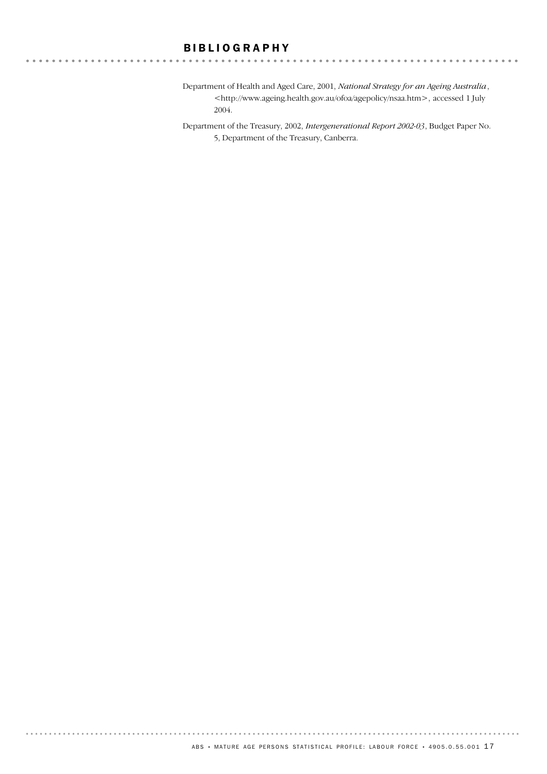### BIBLIOGRAPHY

. . . . . . . . . . . . . . . . .

. . . . . . . .

Department of Health and Aged Care, 2001, *National Strategy for an Ageing Australia*, <http://www.ageing.health.gov.au/ofoa/agepolicy/nsaa.htm>, accessed 1 July 2004.

Department of the Treasury, 2002, *Intergenerational Report 2002-03*, Budget Paper No. 5, Department of the Treasury, Canberra.

. . . . . . .